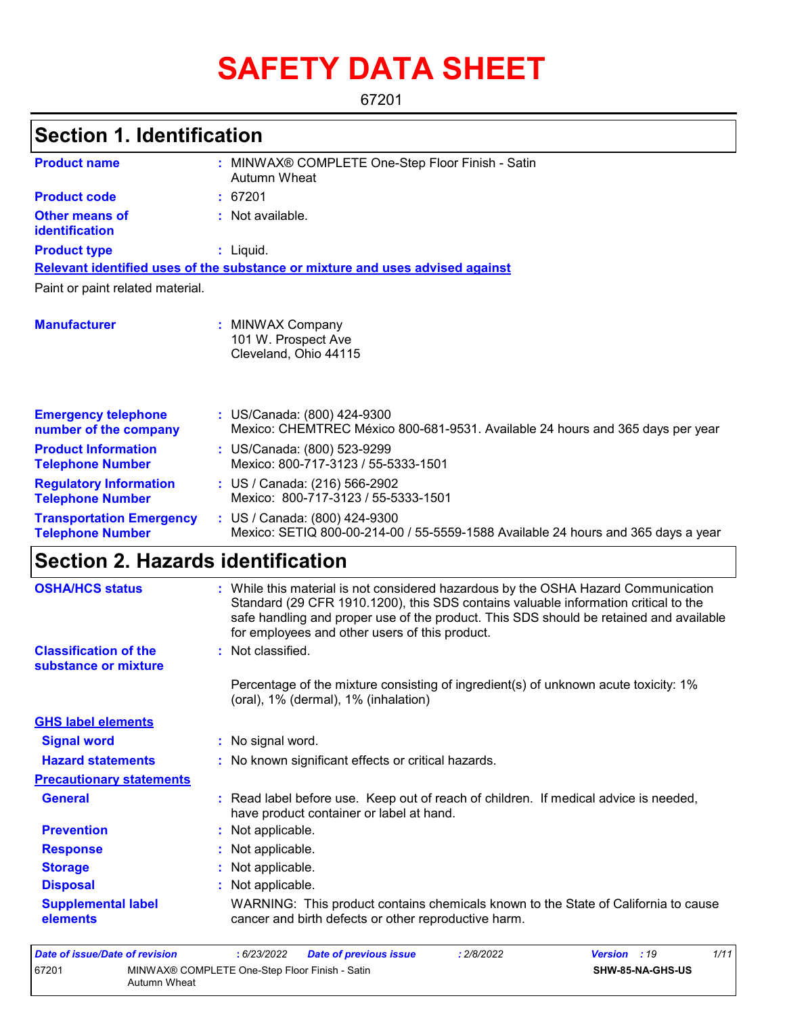# **SAFETY DATA SHEET**

67201

## **Section 1. Identification**

| <b>Product name</b>                                        | : MINWAX® COMPLETE One-Step Floor Finish - Satin<br>Autumn Wheat                                                                                                                                                                                                                                                      |
|------------------------------------------------------------|-----------------------------------------------------------------------------------------------------------------------------------------------------------------------------------------------------------------------------------------------------------------------------------------------------------------------|
| <b>Product code</b>                                        | : 67201                                                                                                                                                                                                                                                                                                               |
| <b>Other means of</b><br>identification                    | : Not available.                                                                                                                                                                                                                                                                                                      |
| <b>Product type</b>                                        | $:$ Liquid.                                                                                                                                                                                                                                                                                                           |
|                                                            | Relevant identified uses of the substance or mixture and uses advised against                                                                                                                                                                                                                                         |
| Paint or paint related material.                           |                                                                                                                                                                                                                                                                                                                       |
| <b>Manufacturer</b>                                        | : MINWAX Company<br>101 W. Prospect Ave<br>Cleveland, Ohio 44115                                                                                                                                                                                                                                                      |
| <b>Emergency telephone</b><br>number of the company        | : US/Canada: (800) 424-9300<br>Mexico: CHEMTREC México 800-681-9531. Available 24 hours and 365 days per year                                                                                                                                                                                                         |
| <b>Product Information</b><br><b>Telephone Number</b>      | : US/Canada: (800) 523-9299<br>Mexico: 800-717-3123 / 55-5333-1501                                                                                                                                                                                                                                                    |
| <b>Regulatory Information</b><br><b>Telephone Number</b>   | : US / Canada: (216) 566-2902<br>Mexico: 800-717-3123 / 55-5333-1501                                                                                                                                                                                                                                                  |
| <b>Transportation Emergency</b><br><b>Telephone Number</b> | : US / Canada: (800) 424-9300<br>Mexico: SETIQ 800-00-214-00 / 55-5559-1588 Available 24 hours and 365 days a year                                                                                                                                                                                                    |
| <b>Section 2. Hazards identification</b>                   |                                                                                                                                                                                                                                                                                                                       |
| <b>OSHA/HCS status</b>                                     | : While this material is not considered hazardous by the OSHA Hazard Communication<br>Standard (29 CFR 1910.1200), this SDS contains valuable information critical to the<br>safe handling and proper use of the product. This SDS should be retained and available<br>for employees and other users of this product. |
| <b>Classification of the</b><br>substance or mixture       | : Not classified.                                                                                                                                                                                                                                                                                                     |
|                                                            | Percentage of the mixture consisting of ingredient(s) of unknown acute toxicity: 1%<br>(oral), 1% (dermal), 1% (inhalation)                                                                                                                                                                                           |

**Signal word :** No signal word. **Precautionary statements Prevention :** Not applicable. **Response :** Not applicable. **Storage :** Not applicable. **Disposal Contract Exercise Exercise :** Not applicable. **GHS label elements General :** Read label before use. Keep out of reach of children. If medical advice is needed, have product container or label at hand. **Hazard statements :** No known significant effects or critical hazards. **Supplemental label elements** WARNING: This product contains chemicals known to the State of California to cause cancer and birth defects or other reproductive harm.

| Date of issue/Date of revision                                          |  | : 6/23/2022 | <b>Date of previous issue</b> | : 2/8/2022 | <b>Version</b> : 19 |                         | 1/11 |
|-------------------------------------------------------------------------|--|-------------|-------------------------------|------------|---------------------|-------------------------|------|
| 67201<br>MINWAX® COMPLETE One-Step Floor Finish - Satin<br>Autumn Wheat |  |             |                               |            |                     | <b>SHW-85-NA-GHS-US</b> |      |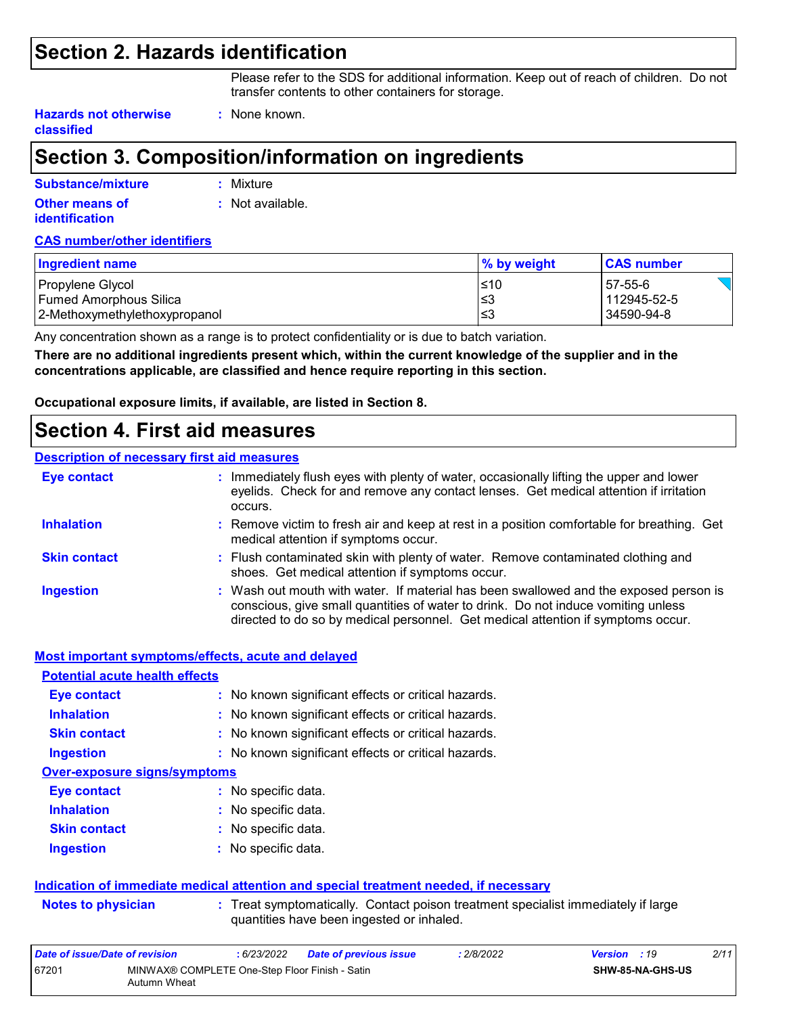### **Section 2. Hazards identification**

Please refer to the SDS for additional information. Keep out of reach of children. Do not transfer contents to other containers for storage.

**Hazards not otherwise classified**

## **Section 3. Composition/information on ingredients**

**:** None known.

| Substance/mixture                       | : Mixture        |
|-----------------------------------------|------------------|
| Other means of<br><b>identification</b> | : Not available. |

#### **CAS number/other identifiers**

| Ingredient name               | % by weight | <b>CAS number</b> |
|-------------------------------|-------------|-------------------|
| Propylene Glycol              | ≤10         | 57-55-6           |
| l Fumed Amorphous Silica      | ≤3          | 112945-52-5       |
| 2-Methoxymethylethoxypropanol | ′≤3         | 34590-94-8        |

Any concentration shown as a range is to protect confidentiality or is due to batch variation.

**There are no additional ingredients present which, within the current knowledge of the supplier and in the concentrations applicable, are classified and hence require reporting in this section.**

**Occupational exposure limits, if available, are listed in Section 8.**

### **Section 4. First aid measures**

#### **Description of necessary first aid measures**

| <b>Eye contact</b>  | : Immediately flush eyes with plenty of water, occasionally lifting the upper and lower<br>eyelids. Check for and remove any contact lenses. Get medical attention if irritation<br>occurs.                                                                    |
|---------------------|----------------------------------------------------------------------------------------------------------------------------------------------------------------------------------------------------------------------------------------------------------------|
| <b>Inhalation</b>   | : Remove victim to fresh air and keep at rest in a position comfortable for breathing. Get<br>medical attention if symptoms occur.                                                                                                                             |
| <b>Skin contact</b> | : Flush contaminated skin with plenty of water. Remove contaminated clothing and<br>shoes. Get medical attention if symptoms occur.                                                                                                                            |
| <b>Ingestion</b>    | : Wash out mouth with water. If material has been swallowed and the exposed person is<br>conscious, give small quantities of water to drink. Do not induce vomiting unless<br>directed to do so by medical personnel. Get medical attention if symptoms occur. |

|                                       | Most important symptoms/effects, acute and delayed                                                                             |
|---------------------------------------|--------------------------------------------------------------------------------------------------------------------------------|
| <b>Potential acute health effects</b> |                                                                                                                                |
| <b>Eye contact</b>                    | : No known significant effects or critical hazards.                                                                            |
| <b>Inhalation</b>                     | : No known significant effects or critical hazards.                                                                            |
| <b>Skin contact</b>                   | : No known significant effects or critical hazards.                                                                            |
| <b>Ingestion</b>                      | : No known significant effects or critical hazards.                                                                            |
| <b>Over-exposure signs/symptoms</b>   |                                                                                                                                |
| Eye contact                           | $:$ No specific data.                                                                                                          |
| <b>Inhalation</b>                     | : No specific data.                                                                                                            |
| <b>Skin contact</b>                   | : No specific data.                                                                                                            |
| <b>Ingestion</b>                      | $:$ No specific data.                                                                                                          |
|                                       | Indication of immediate medical attention and special treatment needed, if necessary                                           |
| <b>Notes to physician</b>             | : Treat symptomatically. Contact poison treatment specialist immediately if large<br>quantities have been ingested or inhaled. |
| Data of issue/Data of revision        | .6/22/2022<br>.2/9/2022<br>Data of province issue<br>V                                                                         |

#### *Date of issue/Date of revision* **:** *6/23/2022 Date of previous issue : 2/8/2022 Version : 19 2/11* 67201 MINWAX® COMPLETE One-Step Floor Finish - Satin Autumn Wheat **SHW-85-NA-GHS-US**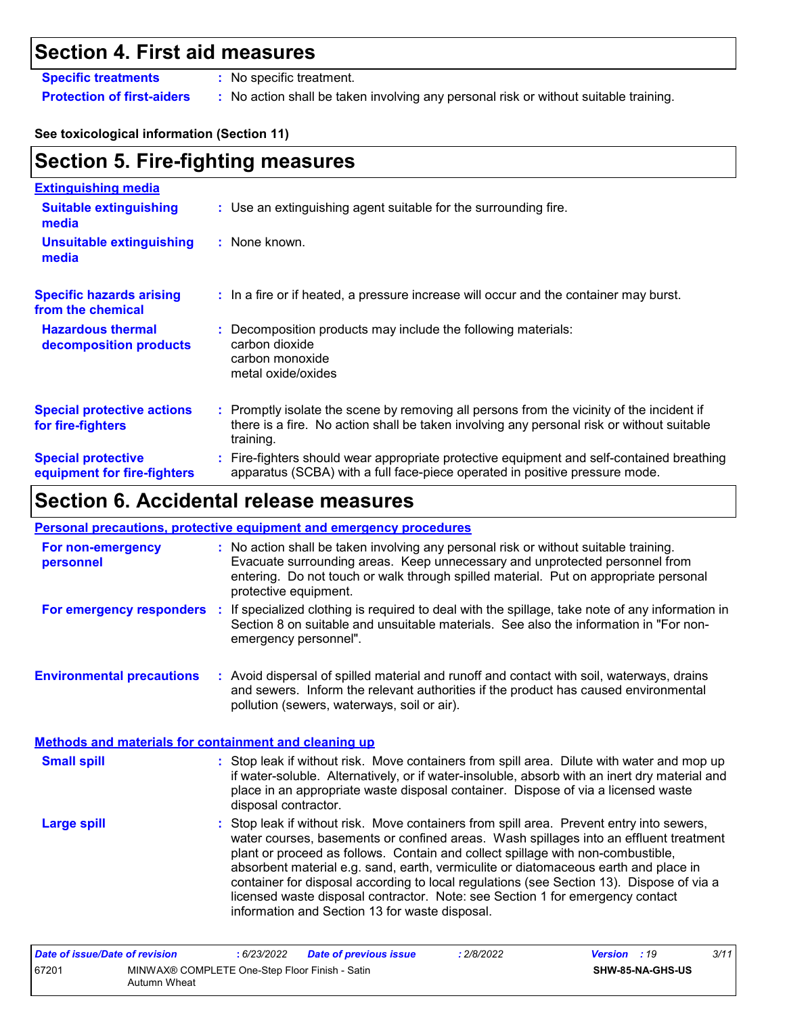## **Section 4. First aid measures**

**Specific treatments :** No specific treatment.

**Protection of first-aiders :** No action shall be taken involving any personal risk or without suitable training.

#### **See toxicological information (Section 11)**

| <b>Section 5. Fire-fighting measures</b>                 |                                                                                                                                                                                                     |
|----------------------------------------------------------|-----------------------------------------------------------------------------------------------------------------------------------------------------------------------------------------------------|
| <b>Extinguishing media</b>                               |                                                                                                                                                                                                     |
| <b>Suitable extinguishing</b><br>media                   | : Use an extinguishing agent suitable for the surrounding fire.                                                                                                                                     |
| <b>Unsuitable extinguishing</b><br>media                 | : None known.                                                                                                                                                                                       |
| <b>Specific hazards arising</b><br>from the chemical     | : In a fire or if heated, a pressure increase will occur and the container may burst.                                                                                                               |
| <b>Hazardous thermal</b><br>decomposition products       | Decomposition products may include the following materials:<br>carbon dioxide<br>carbon monoxide<br>metal oxide/oxides                                                                              |
| <b>Special protective actions</b><br>for fire-fighters   | : Promptly isolate the scene by removing all persons from the vicinity of the incident if<br>there is a fire. No action shall be taken involving any personal risk or without suitable<br>training. |
| <b>Special protective</b><br>equipment for fire-fighters | : Fire-fighters should wear appropriate protective equipment and self-contained breathing<br>apparatus (SCBA) with a full face-piece operated in positive pressure mode.                            |

## **Section 6. Accidental release measures**

#### **Personal precautions, protective equipment and emergency procedures**

| For non-emergency<br>personnel                               | : No action shall be taken involving any personal risk or without suitable training.<br>Evacuate surrounding areas. Keep unnecessary and unprotected personnel from<br>entering. Do not touch or walk through spilled material. Put on appropriate personal<br>protective equipment.                                                                                                                                                                                                                                                                                                       |
|--------------------------------------------------------------|--------------------------------------------------------------------------------------------------------------------------------------------------------------------------------------------------------------------------------------------------------------------------------------------------------------------------------------------------------------------------------------------------------------------------------------------------------------------------------------------------------------------------------------------------------------------------------------------|
| For emergency responders                                     | : If specialized clothing is required to deal with the spillage, take note of any information in<br>Section 8 on suitable and unsuitable materials. See also the information in "For non-<br>emergency personnel".                                                                                                                                                                                                                                                                                                                                                                         |
| <b>Environmental precautions</b>                             | : Avoid dispersal of spilled material and runoff and contact with soil, waterways, drains<br>and sewers. Inform the relevant authorities if the product has caused environmental<br>pollution (sewers, waterways, soil or air).                                                                                                                                                                                                                                                                                                                                                            |
| <b>Methods and materials for containment and cleaning up</b> |                                                                                                                                                                                                                                                                                                                                                                                                                                                                                                                                                                                            |
| <b>Small spill</b>                                           | : Stop leak if without risk. Move containers from spill area. Dilute with water and mop up<br>if water-soluble. Alternatively, or if water-insoluble, absorb with an inert dry material and<br>place in an appropriate waste disposal container. Dispose of via a licensed waste<br>disposal contractor.                                                                                                                                                                                                                                                                                   |
| <b>Large spill</b>                                           | : Stop leak if without risk. Move containers from spill area. Prevent entry into sewers,<br>water courses, basements or confined areas. Wash spillages into an effluent treatment<br>plant or proceed as follows. Contain and collect spillage with non-combustible,<br>absorbent material e.g. sand, earth, vermiculite or diatomaceous earth and place in<br>container for disposal according to local regulations (see Section 13). Dispose of via a<br>licensed waste disposal contractor. Note: see Section 1 for emergency contact<br>information and Section 13 for waste disposal. |

| Date of issue/Date of revision |                                                                | 6/23/2022 | <b>Date of previous issue</b> | : 2/8/2022 | <b>Version</b> : 19 |                         | 3/11 |
|--------------------------------|----------------------------------------------------------------|-----------|-------------------------------|------------|---------------------|-------------------------|------|
| 67201                          | MINWAX® COMPLETE One-Step Floor Finish - Satin<br>Autumn Wheat |           |                               |            |                     | <b>SHW-85-NA-GHS-US</b> |      |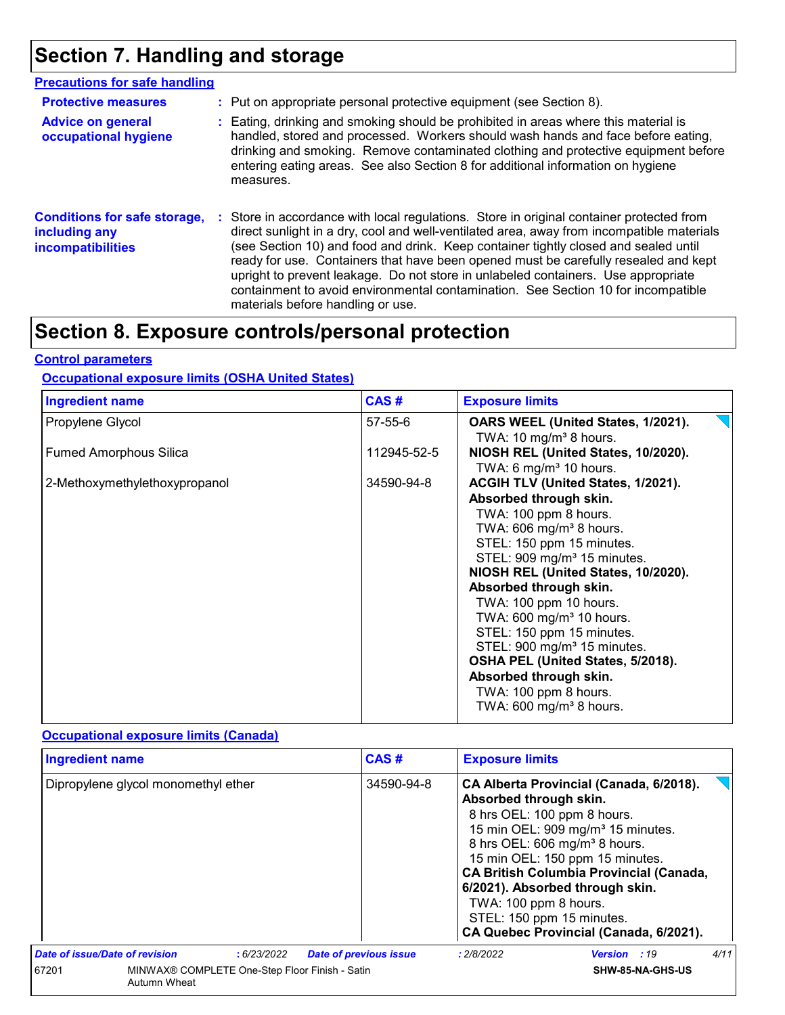## **Section 7. Handling and storage**

| <b>Precautions for safe handling</b>                                             |                                                                                                                                                                                                                                                                                                                                                                                                                                                                                                                                                                                    |
|----------------------------------------------------------------------------------|------------------------------------------------------------------------------------------------------------------------------------------------------------------------------------------------------------------------------------------------------------------------------------------------------------------------------------------------------------------------------------------------------------------------------------------------------------------------------------------------------------------------------------------------------------------------------------|
| <b>Protective measures</b>                                                       | : Put on appropriate personal protective equipment (see Section 8).                                                                                                                                                                                                                                                                                                                                                                                                                                                                                                                |
| <b>Advice on general</b><br>occupational hygiene                                 | : Eating, drinking and smoking should be prohibited in areas where this material is<br>handled, stored and processed. Workers should wash hands and face before eating,<br>drinking and smoking. Remove contaminated clothing and protective equipment before<br>entering eating areas. See also Section 8 for additional information on hygiene<br>measures.                                                                                                                                                                                                                      |
| <b>Conditions for safe storage,</b><br>including any<br><b>incompatibilities</b> | : Store in accordance with local regulations. Store in original container protected from<br>direct sunlight in a dry, cool and well-ventilated area, away from incompatible materials<br>(see Section 10) and food and drink. Keep container tightly closed and sealed until<br>ready for use. Containers that have been opened must be carefully resealed and kept<br>upright to prevent leakage. Do not store in unlabeled containers. Use appropriate<br>containment to avoid environmental contamination. See Section 10 for incompatible<br>materials before handling or use. |

## **Section 8. Exposure controls/personal protection**

#### **Control parameters**

#### **Occupational exposure limits (OSHA United States)**

| <b>Ingredient name</b>        | CAS#          | <b>Exposure limits</b>                  |
|-------------------------------|---------------|-----------------------------------------|
| Propylene Glycol              | $57 - 55 - 6$ | OARS WEEL (United States, 1/2021).      |
|                               |               | TWA: 10 mg/m <sup>3</sup> 8 hours.      |
| <b>Fumed Amorphous Silica</b> | 112945-52-5   | NIOSH REL (United States, 10/2020).     |
|                               |               | TWA: 6 mg/m <sup>3</sup> 10 hours.      |
| 2-Methoxymethylethoxypropanol | 34590-94-8    | ACGIH TLV (United States, 1/2021).      |
|                               |               | Absorbed through skin.                  |
|                               |               | TWA: 100 ppm 8 hours.                   |
|                               |               | TWA: $606$ mg/m <sup>3</sup> 8 hours.   |
|                               |               | STEL: 150 ppm 15 minutes.               |
|                               |               | STEL: 909 mg/m <sup>3</sup> 15 minutes. |
|                               |               | NIOSH REL (United States, 10/2020).     |
|                               |               | Absorbed through skin.                  |
|                               |               | TWA: 100 ppm 10 hours.                  |
|                               |               | TWA: $600 \text{ mg/m}^3$ 10 hours.     |
|                               |               | STEL: 150 ppm 15 minutes.               |
|                               |               | STEL: 900 mg/m <sup>3</sup> 15 minutes. |
|                               |               | OSHA PEL (United States, 5/2018).       |
|                               |               | Absorbed through skin.                  |
|                               |               | TWA: 100 ppm 8 hours.                   |
|                               |               | TWA: $600 \text{ mg/m}^3$ 8 hours.      |
|                               |               |                                         |

### **Occupational exposure limits (Canada)**

| <b>Ingredient name</b>                                                  |  |             | CAS#                          |                                                                                                                                                                                                                                                                                                                                                                                                                        | <b>Exposure limits</b> |                     |      |
|-------------------------------------------------------------------------|--|-------------|-------------------------------|------------------------------------------------------------------------------------------------------------------------------------------------------------------------------------------------------------------------------------------------------------------------------------------------------------------------------------------------------------------------------------------------------------------------|------------------------|---------------------|------|
| Dipropylene glycol monomethyl ether                                     |  |             | 34590-94-8                    | CA Alberta Provincial (Canada, 6/2018).<br>Absorbed through skin.<br>8 hrs OEL: 100 ppm 8 hours.<br>15 min OEL: 909 mg/m <sup>3</sup> 15 minutes.<br>8 hrs OEL: 606 mg/m <sup>3</sup> 8 hours.<br>15 min OEL: 150 ppm 15 minutes.<br><b>CA British Columbia Provincial (Canada,</b><br>6/2021). Absorbed through skin.<br>TWA: 100 ppm 8 hours.<br>STEL: 150 ppm 15 minutes.<br>CA Quebec Provincial (Canada, 6/2021). |                        |                     |      |
| Date of issue/Date of revision                                          |  | : 6/23/2022 | <b>Date of previous issue</b> |                                                                                                                                                                                                                                                                                                                                                                                                                        | : 2/8/2022             | <b>Version</b> : 19 | 4/11 |
| 67201<br>MINWAX® COMPLETE One-Step Floor Finish - Satin<br>Autumn Wheat |  |             |                               | SHW-85-NA-GHS-US                                                                                                                                                                                                                                                                                                                                                                                                       |                        |                     |      |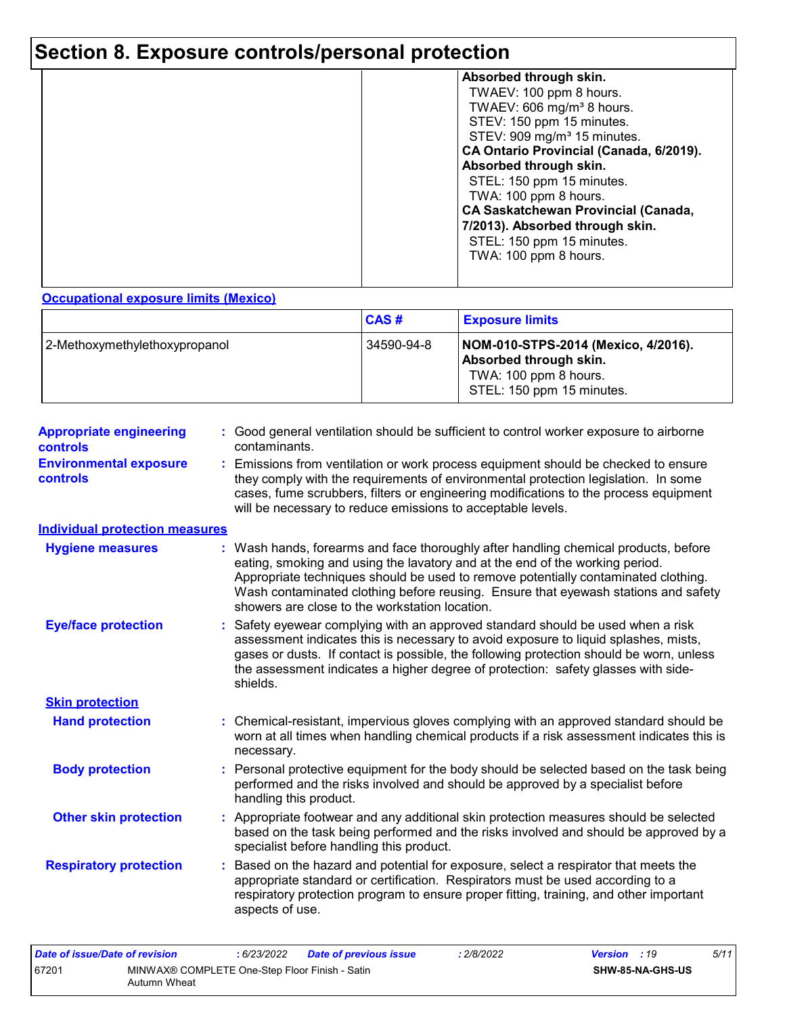## **Section 8. Exposure controls/personal protection**

| Absorbed through skin.                     |
|--------------------------------------------|
| TWAEV: 100 ppm 8 hours.                    |
| TWAEV: 606 mg/m <sup>3</sup> 8 hours.      |
| STEV: 150 ppm 15 minutes.                  |
|                                            |
| STEV: 909 mg/m <sup>3</sup> 15 minutes.    |
| CA Ontario Provincial (Canada, 6/2019).    |
| Absorbed through skin.                     |
| STEL: 150 ppm 15 minutes.                  |
| TWA: 100 ppm 8 hours.                      |
| <b>CA Saskatchewan Provincial (Canada,</b> |
|                                            |
| 7/2013). Absorbed through skin.            |
| STEL: 150 ppm 15 minutes.                  |
| TWA: 100 ppm 8 hours.                      |
|                                            |
|                                            |
|                                            |

#### **Occupational exposure limits (Mexico)**

|                               | CAS#       | <b>Exposure limits</b>                                                                                              |
|-------------------------------|------------|---------------------------------------------------------------------------------------------------------------------|
| 2-Methoxymethylethoxypropanol | 34590-94-8 | NOM-010-STPS-2014 (Mexico, 4/2016).<br>Absorbed through skin.<br>TWA: 100 ppm 8 hours.<br>STEL: 150 ppm 15 minutes. |

| <b>Appropriate engineering</b><br><b>controls</b> | : Good general ventilation should be sufficient to control worker exposure to airborne<br>contaminants.                                                                                                                                                                                                                                                                                         |
|---------------------------------------------------|-------------------------------------------------------------------------------------------------------------------------------------------------------------------------------------------------------------------------------------------------------------------------------------------------------------------------------------------------------------------------------------------------|
| <b>Environmental exposure</b><br>controls         | Emissions from ventilation or work process equipment should be checked to ensure<br>they comply with the requirements of environmental protection legislation. In some<br>cases, fume scrubbers, filters or engineering modifications to the process equipment<br>will be necessary to reduce emissions to acceptable levels.                                                                   |
| <b>Individual protection measures</b>             |                                                                                                                                                                                                                                                                                                                                                                                                 |
| <b>Hygiene measures</b>                           | Wash hands, forearms and face thoroughly after handling chemical products, before<br>eating, smoking and using the lavatory and at the end of the working period.<br>Appropriate techniques should be used to remove potentially contaminated clothing.<br>Wash contaminated clothing before reusing. Ensure that eyewash stations and safety<br>showers are close to the workstation location. |
| <b>Eye/face protection</b>                        | Safety eyewear complying with an approved standard should be used when a risk<br>assessment indicates this is necessary to avoid exposure to liquid splashes, mists,<br>gases or dusts. If contact is possible, the following protection should be worn, unless<br>the assessment indicates a higher degree of protection: safety glasses with side-<br>shields.                                |
| <b>Skin protection</b>                            |                                                                                                                                                                                                                                                                                                                                                                                                 |
| <b>Hand protection</b>                            | Chemical-resistant, impervious gloves complying with an approved standard should be<br>worn at all times when handling chemical products if a risk assessment indicates this is<br>necessary.                                                                                                                                                                                                   |
| <b>Body protection</b>                            | : Personal protective equipment for the body should be selected based on the task being<br>performed and the risks involved and should be approved by a specialist before<br>handling this product.                                                                                                                                                                                             |
| <b>Other skin protection</b>                      | : Appropriate footwear and any additional skin protection measures should be selected<br>based on the task being performed and the risks involved and should be approved by a<br>specialist before handling this product.                                                                                                                                                                       |
| <b>Respiratory protection</b>                     | Based on the hazard and potential for exposure, select a respirator that meets the<br>appropriate standard or certification. Respirators must be used according to a<br>respiratory protection program to ensure proper fitting, training, and other important<br>aspects of use.                                                                                                               |

| Date of issue/Date of revision |                                                                | : 6/23/2022 | <b>Date of previous issue</b> | : 2/8/2022 | <b>Version</b> : 19 |                         | 5/11 |
|--------------------------------|----------------------------------------------------------------|-------------|-------------------------------|------------|---------------------|-------------------------|------|
| 67201                          | MINWAX® COMPLETE One-Step Floor Finish - Satin<br>Autumn Wheat |             |                               |            |                     | <b>SHW-85-NA-GHS-US</b> |      |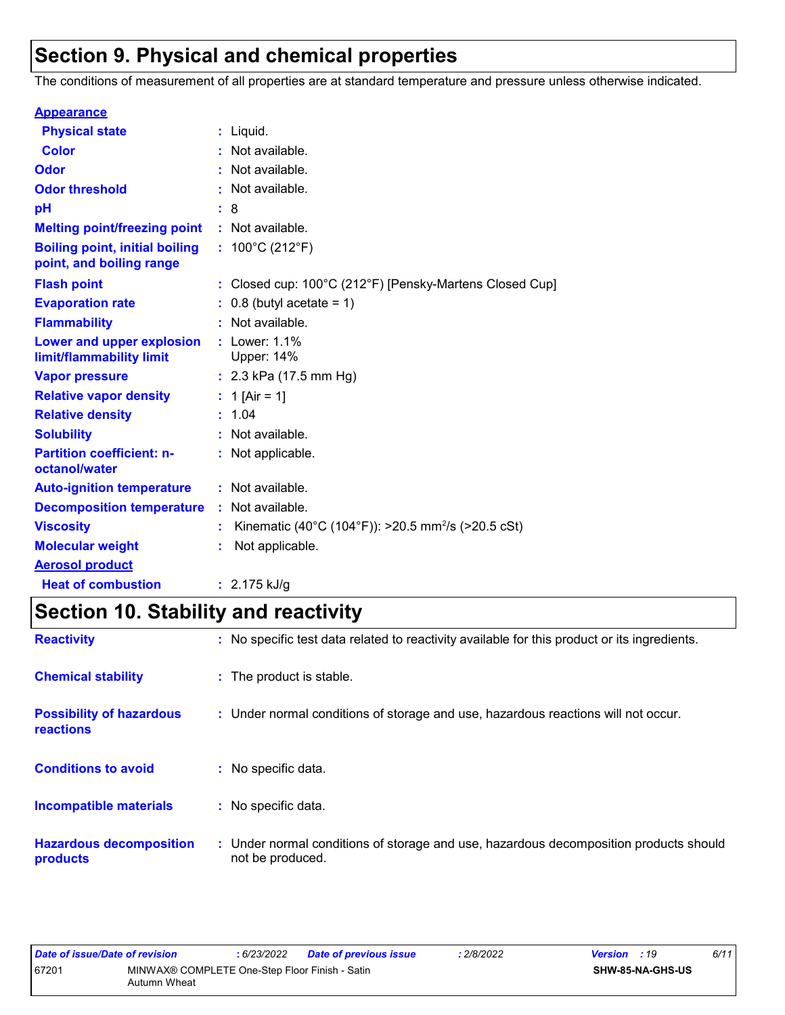## **Section 9. Physical and chemical properties**

The conditions of measurement of all properties are at standard temperature and pressure unless otherwise indicated.

| <b>Appearance</b>                                                 |                                                                |
|-------------------------------------------------------------------|----------------------------------------------------------------|
| <b>Physical state</b>                                             | $:$ Liquid.                                                    |
| <b>Color</b>                                                      | Not available.                                                 |
| Odor                                                              | Not available.                                                 |
| <b>Odor threshold</b>                                             | Not available.                                                 |
| pH                                                                | : 8                                                            |
| <b>Melting point/freezing point</b>                               | : Not available.                                               |
| <b>Boiling point, initial boiling</b><br>point, and boiling range | : $100^{\circ}$ C (212 $^{\circ}$ F)                           |
| <b>Flash point</b>                                                | : Closed cup: 100°C (212°F) [Pensky-Martens Closed Cup]        |
| <b>Evaporation rate</b>                                           | $0.8$ (butyl acetate = 1)                                      |
| <b>Flammability</b>                                               | Not available.                                                 |
| Lower and upper explosion<br>limit/flammability limit             | : Lower: 1.1%<br>Upper: 14%                                    |
| <b>Vapor pressure</b>                                             | : $2.3$ kPa (17.5 mm Hg)                                       |
| <b>Relative vapor density</b>                                     | : 1 [Air = 1]                                                  |
| <b>Relative density</b>                                           | : 1.04                                                         |
| <b>Solubility</b>                                                 | Not available.                                                 |
| <b>Partition coefficient: n-</b><br>octanol/water                 | : Not applicable.                                              |
| <b>Auto-ignition temperature</b>                                  | : Not available.                                               |
| <b>Decomposition temperature</b>                                  | : Not available.                                               |
| <b>Viscosity</b>                                                  | Kinematic (40°C (104°F)): >20.5 mm <sup>2</sup> /s (>20.5 cSt) |
| <b>Molecular weight</b>                                           | Not applicable.                                                |
| <b>Aerosol product</b>                                            |                                                                |
| <b>Heat of combustion</b>                                         | $: 2.175$ kJ/g                                                 |

# **Section 10. Stability and reactivity**

| <b>Reactivity</b>                                   | : No specific test data related to reactivity available for this product or its ingredients.              |
|-----------------------------------------------------|-----------------------------------------------------------------------------------------------------------|
| <b>Chemical stability</b>                           | : The product is stable.                                                                                  |
| <b>Possibility of hazardous</b><br><b>reactions</b> | : Under normal conditions of storage and use, hazardous reactions will not occur.                         |
| <b>Conditions to avoid</b>                          | : No specific data.                                                                                       |
| <b>Incompatible materials</b>                       | : No specific data.                                                                                       |
| <b>Hazardous decomposition</b><br>products          | : Under normal conditions of storage and use, hazardous decomposition products should<br>not be produced. |

| Date of issue/Date of revision |                                                                | 6/23/2022 | <b>Date of previous issue</b> | : 2/8/2022 | <b>Version</b> : 19 |                  | 6/11 |
|--------------------------------|----------------------------------------------------------------|-----------|-------------------------------|------------|---------------------|------------------|------|
| 67201                          | MINWAX® COMPLETE One-Step Floor Finish - Satin<br>Autumn Wheat |           |                               |            |                     | SHW-85-NA-GHS-US |      |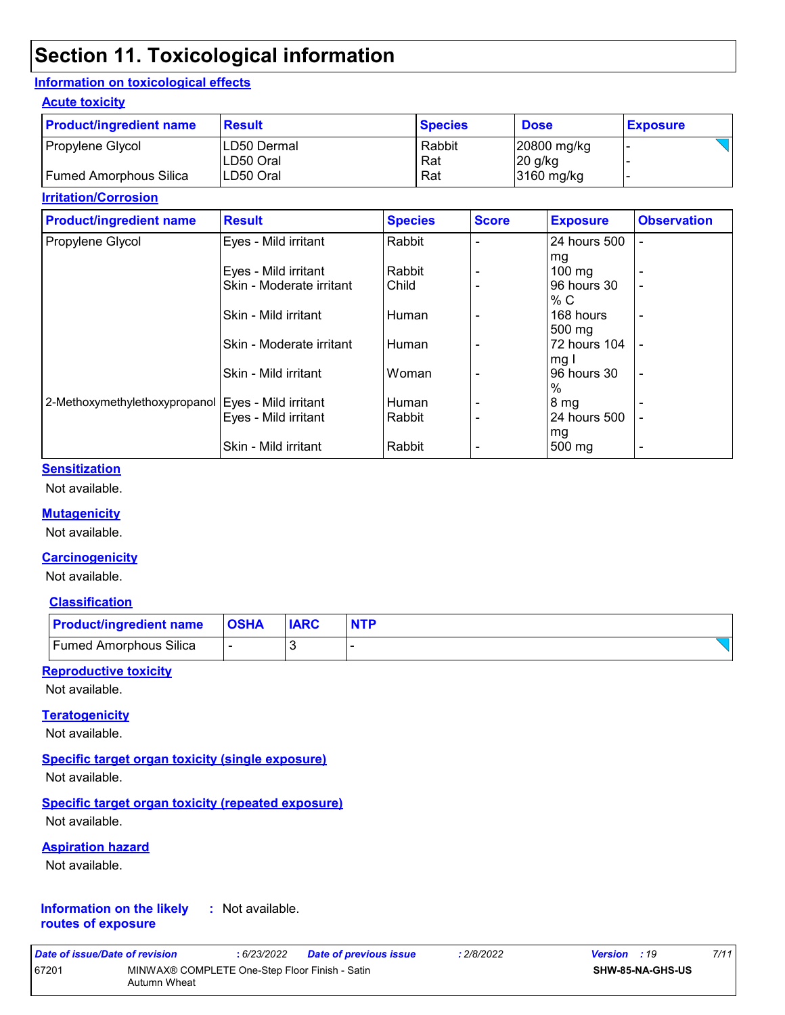## **Section 11. Toxicological information**

#### **Information on toxicological effects**

#### **Acute toxicity**

| <b>Product/ingredient name</b> | <b>Result</b>              | <b>Species</b> | <b>Dose</b>              | <b>Exposure</b> |
|--------------------------------|----------------------------|----------------|--------------------------|-----------------|
| Propylene Glycol               | ILD50 Dermal<br>ILD50 Oral | Rabbit<br>Rat  | 20800 mg/kg<br>$20$ g/kg |                 |
| Fumed Amorphous Silica         | ILD50 Oral                 | Rat            | 3160 mg/kg               |                 |

#### **Irritation/Corrosion**

| <b>Product/ingredient name</b>                       | <b>Result</b>            | <b>Species</b> | <b>Score</b> | <b>Exposure</b>  | <b>Observation</b>       |
|------------------------------------------------------|--------------------------|----------------|--------------|------------------|--------------------------|
| Propylene Glycol                                     | Eyes - Mild irritant     | Rabbit         |              | 24 hours 500     |                          |
|                                                      |                          |                |              | mg               |                          |
|                                                      | Eyes - Mild irritant     | Rabbit         |              | $100 \text{ mg}$ |                          |
|                                                      | Skin - Moderate irritant | Child          |              | 96 hours 30      | -                        |
|                                                      |                          |                |              | % C              |                          |
|                                                      | Skin - Mild irritant     | Human          |              | 168 hours        | $\blacksquare$           |
|                                                      |                          |                |              | $500 \text{ mg}$ |                          |
|                                                      | Skin - Moderate irritant | Human          |              | 72 hours 104     |                          |
|                                                      |                          |                |              | mg I             |                          |
|                                                      | Skin - Mild irritant     | Woman          |              | 96 hours 30      | $\overline{\phantom{a}}$ |
|                                                      |                          |                |              | $\%$             |                          |
| 2-Methoxymethylethoxypropanol   Eyes - Mild irritant |                          | Human          |              | 8 mg             |                          |
|                                                      | Eyes - Mild irritant     | Rabbit         |              | 24 hours 500     |                          |
|                                                      |                          |                |              | mg               |                          |
|                                                      | Skin - Mild irritant     | Rabbit         |              | 500 mg           |                          |

#### **Sensitization**

Not available.

#### **Mutagenicity**

Not available.

#### **Carcinogenicity**

Not available.

#### **Classification**

| <b>Product/ingredient name OSHA</b> | <b>IARC</b> | <b>NTP</b> |
|-------------------------------------|-------------|------------|
| <b>Fumed Amorphous Silica</b>       |             |            |

#### **Reproductive toxicity**

Not available.

#### **Teratogenicity**

Not available.

#### **Specific target organ toxicity (single exposure)**

Not available.

#### **Specific target organ toxicity (repeated exposure)**

Not available.

#### **Aspiration hazard**

Not available.

#### **Information on the likely routes of exposure :** Not available.

| Date of issue/Date of revision |                                                                | : 6/23/2022 | <b>Date of previous issue</b> | : 2/8/2022 | <b>Version</b> : 19     | 7/11 |
|--------------------------------|----------------------------------------------------------------|-------------|-------------------------------|------------|-------------------------|------|
| 67201                          | MINWAX® COMPLETE One-Step Floor Finish - Satin<br>Autumn Wheat |             |                               |            | <b>SHW-85-NA-GHS-US</b> |      |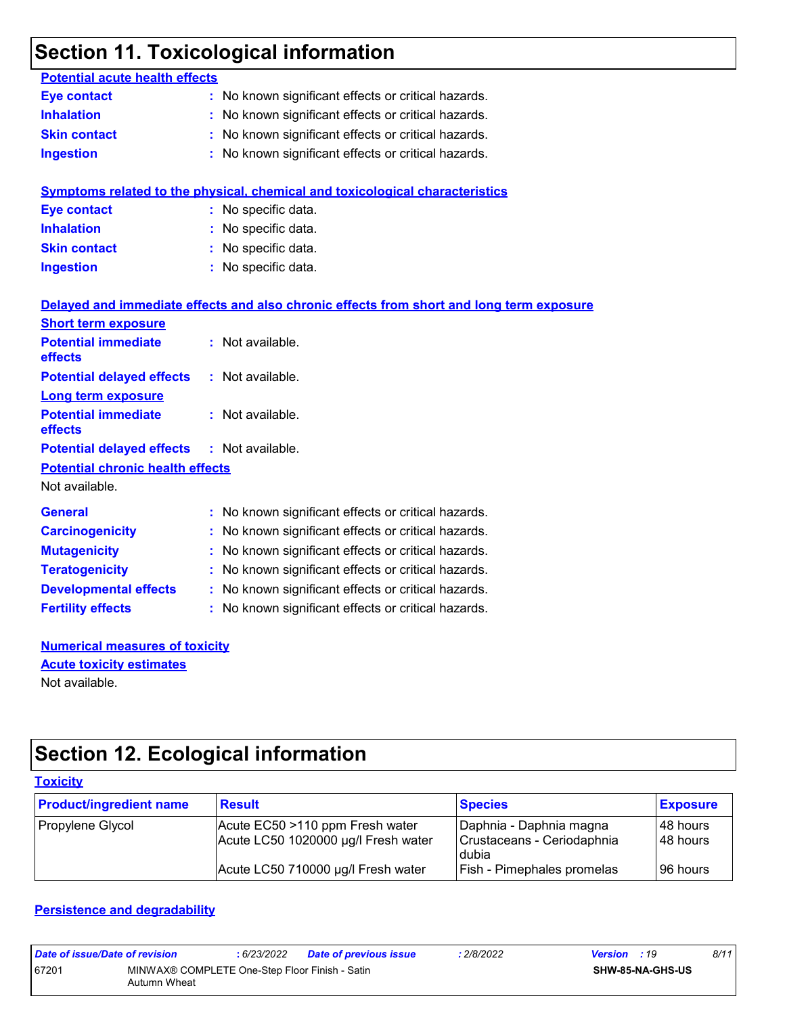## **Section 11. Toxicological information**

| <b>Potential acute health effects</b>   |                                                                                          |
|-----------------------------------------|------------------------------------------------------------------------------------------|
| <b>Eye contact</b>                      | : No known significant effects or critical hazards.                                      |
| <b>Inhalation</b>                       | No known significant effects or critical hazards.                                        |
| <b>Skin contact</b>                     | No known significant effects or critical hazards.                                        |
| <b>Ingestion</b>                        | : No known significant effects or critical hazards.                                      |
|                                         |                                                                                          |
|                                         | Symptoms related to the physical, chemical and toxicological characteristics             |
| <b>Eye contact</b>                      | : No specific data.                                                                      |
| <b>Inhalation</b>                       | No specific data.                                                                        |
| <b>Skin contact</b>                     | No specific data.                                                                        |
| <b>Ingestion</b>                        | : No specific data.                                                                      |
|                                         |                                                                                          |
|                                         | Delayed and immediate effects and also chronic effects from short and long term exposure |
| <b>Short term exposure</b>              |                                                                                          |
| <b>Potential immediate</b>              | : Not available.                                                                         |
| effects                                 |                                                                                          |
| <b>Potential delayed effects</b>        | : Not available.                                                                         |
| <b>Long term exposure</b>               |                                                                                          |
| <b>Potential immediate</b><br>effects   | : Not available.                                                                         |
| <b>Potential delayed effects</b>        | : Not available.                                                                         |
| <b>Potential chronic health effects</b> |                                                                                          |
| Not available.                          |                                                                                          |
|                                         |                                                                                          |
| <b>General</b>                          | No known significant effects or critical hazards.                                        |
| <b>Carcinogenicity</b>                  | No known significant effects or critical hazards.                                        |
| <b>Mutagenicity</b>                     | No known significant effects or critical hazards.                                        |
| <b>Teratogenicity</b>                   | No known significant effects or critical hazards.                                        |
| <b>Developmental effects</b>            | : No known significant effects or critical hazards.                                      |
| <b>Fertility effects</b>                | : No known significant effects or critical hazards.                                      |
|                                         |                                                                                          |

**Numerical measures of toxicity** Not available. **Acute toxicity estimates**

## **Section 12. Ecological information**

| <b>Toxicity</b>                |                                                                        |                                                                |                        |  |  |  |
|--------------------------------|------------------------------------------------------------------------|----------------------------------------------------------------|------------------------|--|--|--|
| <b>Product/ingredient name</b> | <b>Result</b>                                                          | <b>Species</b>                                                 | <b>Exposure</b>        |  |  |  |
| Propylene Glycol               | Acute EC50 >110 ppm Fresh water<br>Acute LC50 1020000 µg/l Fresh water | Daphnia - Daphnia magna<br>Crustaceans - Ceriodaphnia<br>dubia | I48 hours<br>I48 hours |  |  |  |
|                                | Acute LC50 710000 µg/l Fresh water                                     | <b>Fish - Pimephales promelas</b>                              | 96 hours               |  |  |  |

#### **Persistence and degradability**

| Date of issue/Date of revision |                                                                | 6/23/2022 | Date of previous issue | : 2/8/2022 | <b>Version</b> : 19 |                         | 8/11 |
|--------------------------------|----------------------------------------------------------------|-----------|------------------------|------------|---------------------|-------------------------|------|
| 67201                          | MINWAX® COMPLETE One-Step Floor Finish - Satin<br>Autumn Wheat |           |                        |            |                     | <b>SHW-85-NA-GHS-US</b> |      |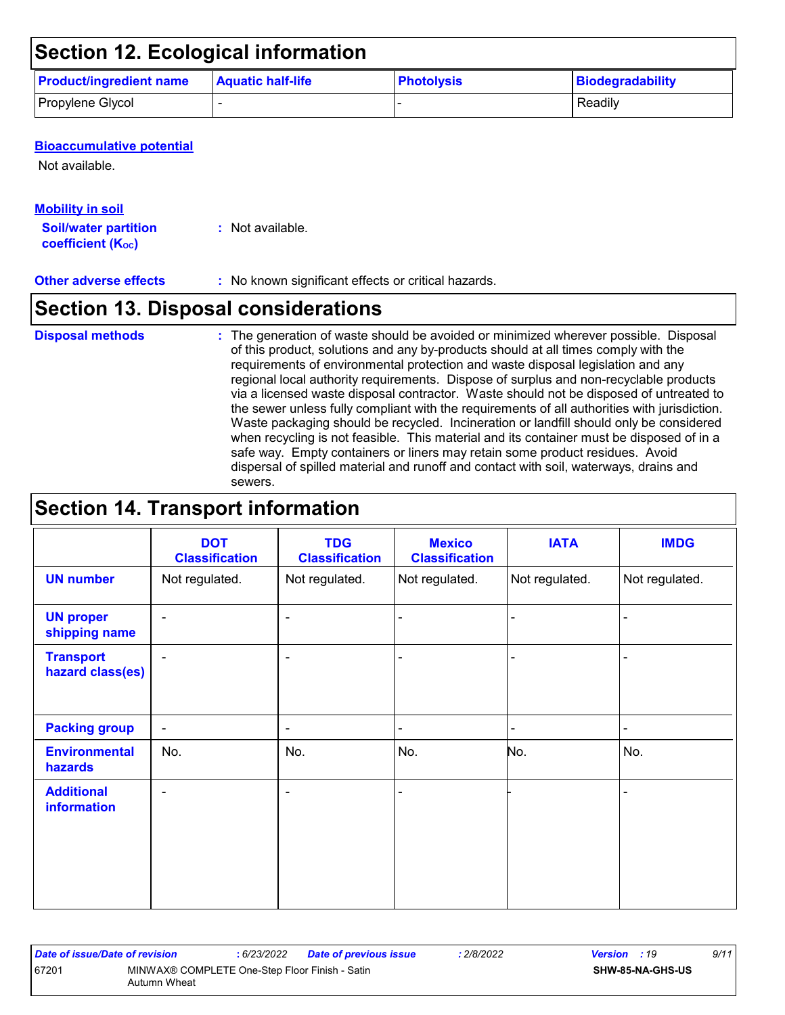## **Section 12. Ecological information**

| <b>Product/ingredient name</b> | <b>Aquatic half-life</b> | <b>Photolysis</b> | <b>Biodegradability</b> |
|--------------------------------|--------------------------|-------------------|-------------------------|
| Propylene Glycol               |                          |                   | Readily                 |

#### **Bioaccumulative potential**

Not available.

### **Mobility in soil**

**Soil/water partition coefficient (Koc)** 

**:** Not available.

#### **Other adverse effects** : No known significant effects or critical hazards.

## **Section 13. Disposal considerations**

#### **Disposal methods :**

The generation of waste should be avoided or minimized wherever possible. Disposal of this product, solutions and any by-products should at all times comply with the requirements of environmental protection and waste disposal legislation and any regional local authority requirements. Dispose of surplus and non-recyclable products via a licensed waste disposal contractor. Waste should not be disposed of untreated to the sewer unless fully compliant with the requirements of all authorities with jurisdiction. Waste packaging should be recycled. Incineration or landfill should only be considered when recycling is not feasible. This material and its container must be disposed of in a safe way. Empty containers or liners may retain some product residues. Avoid dispersal of spilled material and runoff and contact with soil, waterways, drains and sewers.

## **Section 14. Transport information**

|                                         | <b>DOT</b><br><b>Classification</b> | <b>TDG</b><br><b>Classification</b> | <b>Mexico</b><br><b>Classification</b> | <b>IATA</b>    | <b>IMDG</b>    |
|-----------------------------------------|-------------------------------------|-------------------------------------|----------------------------------------|----------------|----------------|
| <b>UN number</b>                        | Not regulated.                      | Not regulated.                      | Not regulated.                         | Not regulated. | Not regulated. |
| <b>UN proper</b><br>shipping name       | $\blacksquare$                      | $\overline{\phantom{a}}$            |                                        |                |                |
| <b>Transport</b><br>hazard class(es)    | $\blacksquare$                      | $\overline{\phantom{a}}$            |                                        |                | -              |
| <b>Packing group</b>                    | $\overline{\phantom{a}}$            | $\blacksquare$                      | $\blacksquare$                         | ۰              | $\blacksquare$ |
| <b>Environmental</b><br>hazards         | No.                                 | No.                                 | No.                                    | No.            | No.            |
| <b>Additional</b><br><b>information</b> | $\overline{\phantom{0}}$            | $\overline{\phantom{0}}$            |                                        |                |                |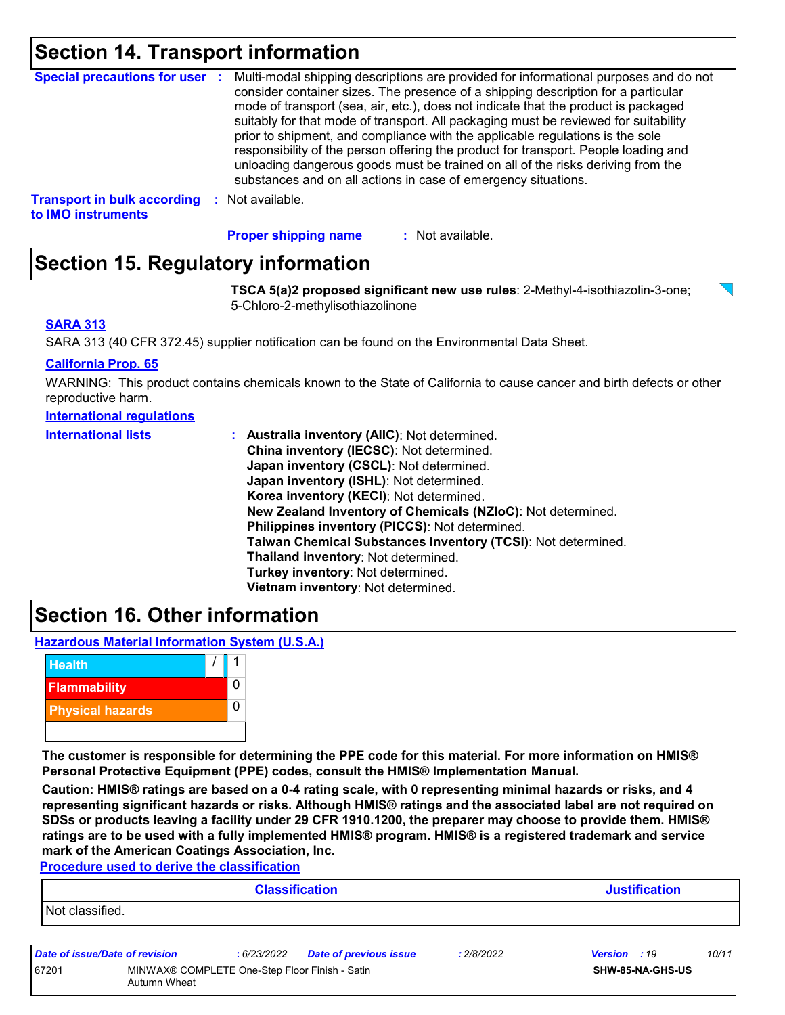## **Section 14. Transport information**

| <b>Special precautions for user :</b>                    | Multi-modal shipping descriptions are provided for informational purposes and do not<br>consider container sizes. The presence of a shipping description for a particular<br>mode of transport (sea, air, etc.), does not indicate that the product is packaged<br>suitably for that mode of transport. All packaging must be reviewed for suitability<br>prior to shipment, and compliance with the applicable regulations is the sole<br>responsibility of the person offering the product for transport. People loading and<br>unloading dangerous goods must be trained on all of the risks deriving from the<br>substances and on all actions in case of emergency situations. |
|----------------------------------------------------------|-------------------------------------------------------------------------------------------------------------------------------------------------------------------------------------------------------------------------------------------------------------------------------------------------------------------------------------------------------------------------------------------------------------------------------------------------------------------------------------------------------------------------------------------------------------------------------------------------------------------------------------------------------------------------------------|
| <b>Transport in bulk according</b><br>to IMO instruments | : Not available.                                                                                                                                                                                                                                                                                                                                                                                                                                                                                                                                                                                                                                                                    |

: Not available. **Proper shipping name :**

## **Section 15. Regulatory information**

**TSCA 5(a)2 proposed significant new use rules**: 2-Methyl-4-isothiazolin-3-one; 5-Chloro-2-methylisothiazolinone

#### **SARA 313**

SARA 313 (40 CFR 372.45) supplier notification can be found on the Environmental Data Sheet.

#### **California Prop. 65**

WARNING: This product contains chemicals known to the State of California to cause cancer and birth defects or other reproductive harm.

| <b>International requiations</b> |
|----------------------------------|
|----------------------------------|

| <b>International lists</b> | : Australia inventory (AIIC): Not determined.                |
|----------------------------|--------------------------------------------------------------|
|                            | China inventory (IECSC): Not determined.                     |
|                            | Japan inventory (CSCL): Not determined.                      |
|                            | Japan inventory (ISHL): Not determined.                      |
|                            | Korea inventory (KECI): Not determined.                      |
|                            | New Zealand Inventory of Chemicals (NZIoC): Not determined.  |
|                            | Philippines inventory (PICCS): Not determined.               |
|                            | Taiwan Chemical Substances Inventory (TCSI): Not determined. |
|                            | Thailand inventory: Not determined.                          |
|                            | Turkey inventory: Not determined.                            |
|                            | Vietnam inventory: Not determined.                           |

## **Section 16. Other information**

**Hazardous Material Information System (U.S.A.)**



**The customer is responsible for determining the PPE code for this material. For more information on HMIS® Personal Protective Equipment (PPE) codes, consult the HMIS® Implementation Manual.**

**Caution: HMIS® ratings are based on a 0-4 rating scale, with 0 representing minimal hazards or risks, and 4 representing significant hazards or risks. Although HMIS® ratings and the associated label are not required on SDSs or products leaving a facility under 29 CFR 1910.1200, the preparer may choose to provide them. HMIS® ratings are to be used with a fully implemented HMIS® program. HMIS® is a registered trademark and service mark of the American Coatings Association, Inc.**

**Procedure used to derive the classification**

| <b>Classification</b> | <b>Justification</b> |
|-----------------------|----------------------|
| Not classified.       |                      |
|                       |                      |

| Date of issue/Date of revision |                                                                | : 6/23/2022 | <b>Date of previous issue</b> | 2/8/2022 | <b>Version</b> : 19 |                         | 10/11 |
|--------------------------------|----------------------------------------------------------------|-------------|-------------------------------|----------|---------------------|-------------------------|-------|
| 67201                          | MINWAX® COMPLETE One-Step Floor Finish - Satin<br>Autumn Wheat |             |                               |          |                     | <b>SHW-85-NA-GHS-US</b> |       |